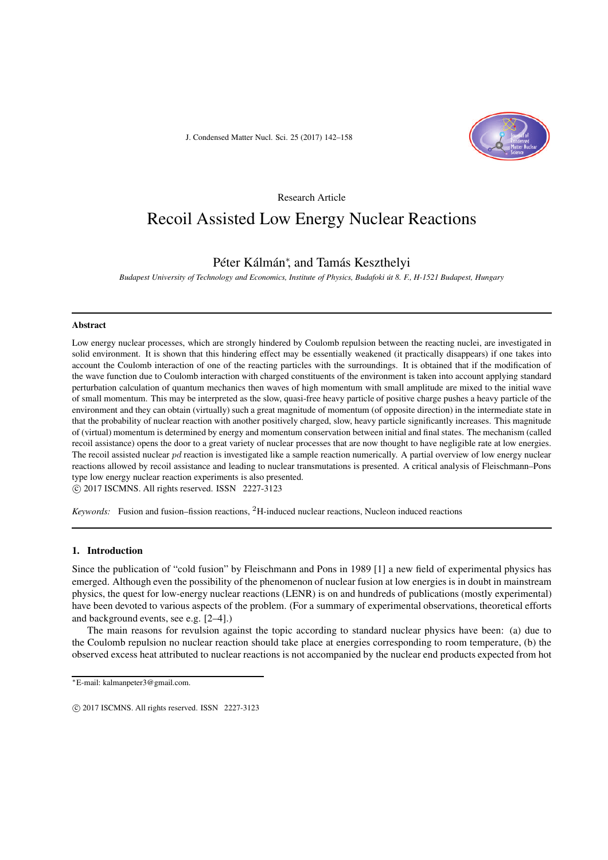J. Condensed Matter Nucl. Sci. 25 (2017) 142–158



Research Article

# Recoil Assisted Low Energy Nuclear Reactions

# Péter Kálmán*<sup>∗</sup>* , and Tamás Keszthelyi

*Budapest University of Technology and Economics, Institute of Physics, Budafoki út 8. F., H-1521 Budapest, Hungary*

#### **Abstract**

Low energy nuclear processes, which are strongly hindered by Coulomb repulsion between the reacting nuclei, are investigated in solid environment. It is shown that this hindering effect may be essentially weakened (it practically disappears) if one takes into account the Coulomb interaction of one of the reacting particles with the surroundings. It is obtained that if the modification of the wave function due to Coulomb interaction with charged constituents of the environment is taken into account applying standard perturbation calculation of quantum mechanics then waves of high momentum with small amplitude are mixed to the initial wave of small momentum. This may be interpreted as the slow, quasi-free heavy particle of positive charge pushes a heavy particle of the environment and they can obtain (virtually) such a great magnitude of momentum (of opposite direction) in the intermediate state in that the probability of nuclear reaction with another positively charged, slow, heavy particle significantly increases. This magnitude of (virtual) momentum is determined by energy and momentum conservation between initial and final states. The mechanism (called recoil assistance) opens the door to a great variety of nuclear processes that are now thought to have negligible rate at low energies. The recoil assisted nuclear *pd* reaction is investigated like a sample reaction numerically. A partial overview of low energy nuclear reactions allowed by recoil assistance and leading to nuclear transmutations is presented. A critical analysis of Fleischmann–Pons type low energy nuclear reaction experiments is also presented. *-*c 2017 ISCMNS. All rights reserved. ISSN 2227-3123

*Keywords:* Fusion and fusion–fission reactions, <sup>2</sup>H-induced nuclear reactions, Nucleon induced reactions

#### **1. Introduction**

Since the publication of "cold fusion" by Fleischmann and Pons in 1989 [1] a new field of experimental physics has emerged. Although even the possibility of the phenomenon of nuclear fusion at low energies is in doubt in mainstream physics, the quest for low-energy nuclear reactions (LENR) is on and hundreds of publications (mostly experimental) have been devoted to various aspects of the problem. (For a summary of experimental observations, theoretical efforts and background events, see e.g. [2–4].)

The main reasons for revulsion against the topic according to standard nuclear physics have been: (a) due to the Coulomb repulsion no nuclear reaction should take place at energies corresponding to room temperature, (b) the observed excess heat attributed to nuclear reactions is not accompanied by the nuclear end products expected from hot

*<sup>∗</sup>*E-mail: kalmanpeter3@gmail.com.

c 2017 ISCMNS. All rights reserved. ISSN 2227-3123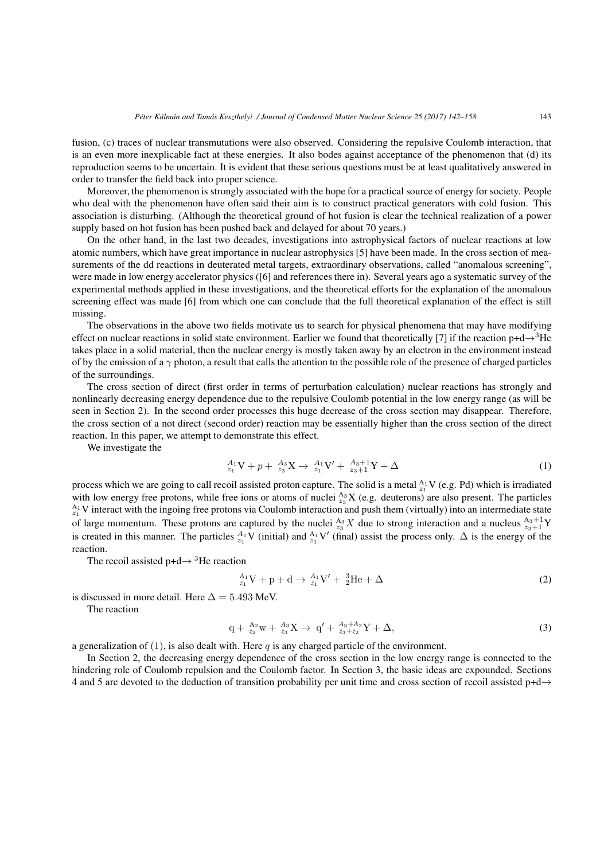fusion, (c) traces of nuclear transmutations were also observed. Considering the repulsive Coulomb interaction, that is an even more inexplicable fact at these energies. It also bodes against acceptance of the phenomenon that (d) its reproduction seems to be uncertain. It is evident that these serious questions must be at least qualitatively answered in order to transfer the field back into proper science.

Moreover, the phenomenon is strongly associated with the hope for a practical source of energy for society. People who deal with the phenomenon have often said their aim is to construct practical generators with cold fusion. This association is disturbing. (Although the theoretical ground of hot fusion is clear the technical realization of a power supply based on hot fusion has been pushed back and delayed for about 70 years.)

On the other hand, in the last two decades, investigations into astrophysical factors of nuclear reactions at low atomic numbers, which have great importance in nuclear astrophysics [5] have been made. In the cross section of measurements of the dd reactions in deuterated metal targets, extraordinary observations, called "anomalous screening", were made in low energy accelerator physics ([6] and references there in). Several years ago a systematic survey of the experimental methods applied in these investigations, and the theoretical efforts for the explanation of the anomalous screening effect was made [6] from which one can conclude that the full theoretical explanation of the effect is still missing.

The observations in the above two fields motivate us to search for physical phenomena that may have modifying effect on nuclear reactions in solid state environment. Earlier we found that theoretically [7] if the reaction p+d*→*<sup>3</sup>He takes place in a solid material, then the nuclear energy is mostly taken away by an electron in the environment instead of by the emission of a *γ* photon, a result that calls the attention to the possible role of the presence of charged particles of the surroundings.

The cross section of direct (first order in terms of perturbation calculation) nuclear reactions has strongly and nonlinearly decreasing energy dependence due to the repulsive Coulomb potential in the low energy range (as will be seen in Section 2). In the second order processes this huge decrease of the cross section may disappear. Therefore, the cross section of a not direct (second order) reaction may be essentially higher than the cross section of the direct reaction. In this paper, we attempt to demonstrate this effect.

We investigate the

$$
{}_{z_1}^{A_1}V + p + {}_{z_3}^{A_3}X \to {}_{z_1}^{A_1}V' + {}_{z_3+1}^{A_3+1}Y + \Delta
$$
 (1)

process which we are going to call recoil assisted proton capture. The solid is a metal  $\frac{A_1}{z_1}V$  (e.g. Pd) which is irradiated with low energy free protons, while free ions or atoms of nuclei  $_{z_3}^{A_3}X$  (e.g. deuterons) are also present. The particles  $^{A_1}_{z_1}$ V interact with the ingoing free protons via Coulomb interaction and push them (virtually) into an intermediate state of large momentum. These protons are captured by the nuclei  $_{z_3}^{A_3}X$  due to strong interaction and a nucleus  $_{z_3+1}^{A_3+1}Y$ is created in this manner. The particles  $^{A_1}_{z_1}V$  (initial) and  $^{A_1}_{z_1}V'$  (final) assist the process only.  $\Delta$  is the energy of the reaction.

The recoil assisted p+d*<sup>→</sup>* <sup>3</sup>He reaction

$$
{}_{z_1}^{A_1}V + p + d \rightarrow {}_{z_1}^{A_1}V' + {}_{2}^{3}He + \Delta
$$
 (2)

is discussed in more detail. Here  $\Delta = 5.493$  MeV.

The reaction

$$
q + \frac{A_2}{z_2}w + \frac{A_3}{z_3}X \to q' + \frac{A_3 + A_2}{z_3 + z_2}Y + \Delta,
$$
\n(3)

a generalization of (1), is also dealt with. Here *q* is any charged particle of the environment.

In Section 2, the decreasing energy dependence of the cross section in the low energy range is connected to the hindering role of Coulomb repulsion and the Coulomb factor. In Section 3, the basic ideas are expounded. Sections 4 and 5 are devoted to the deduction of transition probability per unit time and cross section of recoil assisted p+d*→*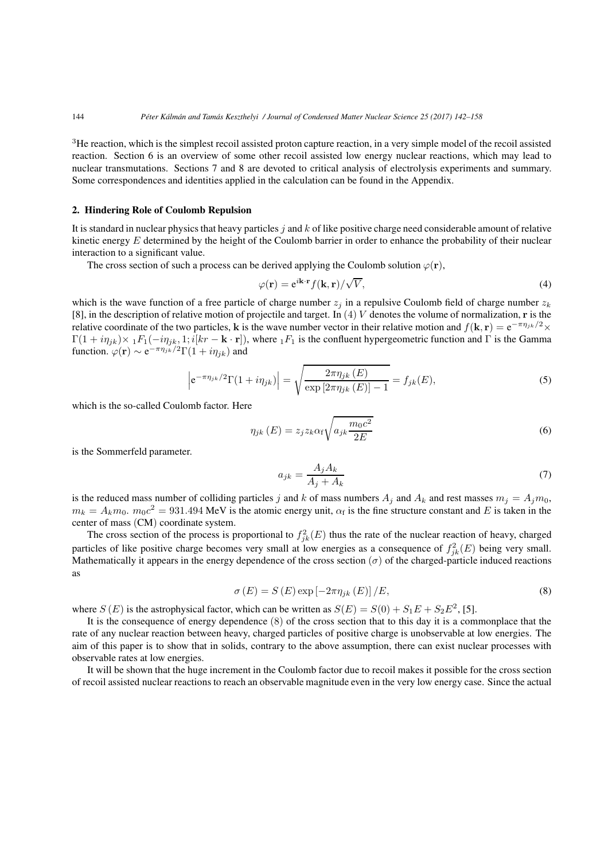<sup>3</sup>He reaction, which is the simplest recoil assisted proton capture reaction, in a very simple model of the recoil assisted reaction. Section 6 is an overview of some other recoil assisted low energy nuclear reactions, which may lead to nuclear transmutations. Sections 7 and 8 are devoted to critical analysis of electrolysis experiments and summary. Some correspondences and identities applied in the calculation can be found in the Appendix.

## **2. Hindering Role of Coulomb Repulsion**

It is standard in nuclear physics that heavy particles *j* and *k* of like positive charge need considerable amount of relative kinetic energy *E* determined by the height of the Coulomb barrier in order to enhance the probability of their nuclear interaction to a significant value.

The cross section of such a process can be derived applying the Coulomb solution  $\varphi(\mathbf{r})$ ,

$$
\varphi(\mathbf{r}) = e^{i\mathbf{k}\cdot\mathbf{r}} f(\mathbf{k}, \mathbf{r}) / \sqrt{V},\tag{4}
$$

which is the wave function of a free particle of charge number  $z_j$  in a repulsive Coulomb field of charge number  $z_k$ [8], in the description of relative motion of projectile and target. In (4) *V* denotes the volume of normalization, **r** is the relative coordinate of the two particles, **k** is the wave number vector in their relative motion and  $f(\mathbf{k}, \mathbf{r}) = e^{-\pi \eta_{jk}/2} \times f(\mathbf{k})$  $\Gamma(1 + i\eta_{jk}) \times {}_1F_1(-i\eta_{jk}, 1; i[kr - \mathbf{k} \cdot \mathbf{r}])$ , where  ${}_1F_1$  is the confluent hypergeometric function and Γ is the Gamma function.  $\varphi(\mathbf{r}) \sim e^{-\pi \eta_{jk}/2} \Gamma(1 + i \eta_{jk})$  and

$$
\left| e^{-\pi \eta_{jk}/2} \Gamma(1 + i \eta_{jk}) \right| = \sqrt{\frac{2\pi \eta_{jk}(E)}{\exp\left[2\pi \eta_{jk}(E)\right] - 1}} = f_{jk}(E),\tag{5}
$$

which is the so-called Coulomb factor. Here

$$
\eta_{jk}(E) = z_j z_k \alpha_f \sqrt{a_{jk} \frac{m_0 c^2}{2E}} \tag{6}
$$

is the Sommerfeld parameter.

$$
a_{jk} = \frac{A_j A_k}{A_j + A_k} \tag{7}
$$

is the reduced mass number of colliding particles *j* and *k* of mass numbers  $A_j$  and  $A_k$  and rest masses  $m_j = A_j m_0$ ,  $m_k = A_k m_0$ .  $m_0 c^2 = 931.494$  MeV is the atomic energy unit,  $\alpha_f$  is the fine structure constant and *E* is taken in the center of mass (CM) coordinate system.

The cross section of the process is proportional to  $f_{jk}^2(E)$  thus the rate of the nuclear reaction of heavy, charged particles of like positive charge becomes very small at low energies as a consequence of  $f_{jk}^2(E)$  being very small. Mathematically it appears in the energy dependence of the cross section  $(\sigma)$  of the charged-particle induced reactions as

$$
\sigma(E) = S(E) \exp\left[-2\pi \eta_{jk}(E)\right]/E,\tag{8}
$$

where *S* (*E*) is the astrophysical factor, which can be written as  $S(E) = S(0) + S_1E + S_2E^2$ , [5].

It is the consequence of energy dependence (8) of the cross section that to this day it is a commonplace that the rate of any nuclear reaction between heavy, charged particles of positive charge is unobservable at low energies. The aim of this paper is to show that in solids, contrary to the above assumption, there can exist nuclear processes with observable rates at low energies.

It will be shown that the huge increment in the Coulomb factor due to recoil makes it possible for the cross section of recoil assisted nuclear reactions to reach an observable magnitude even in the very low energy case. Since the actual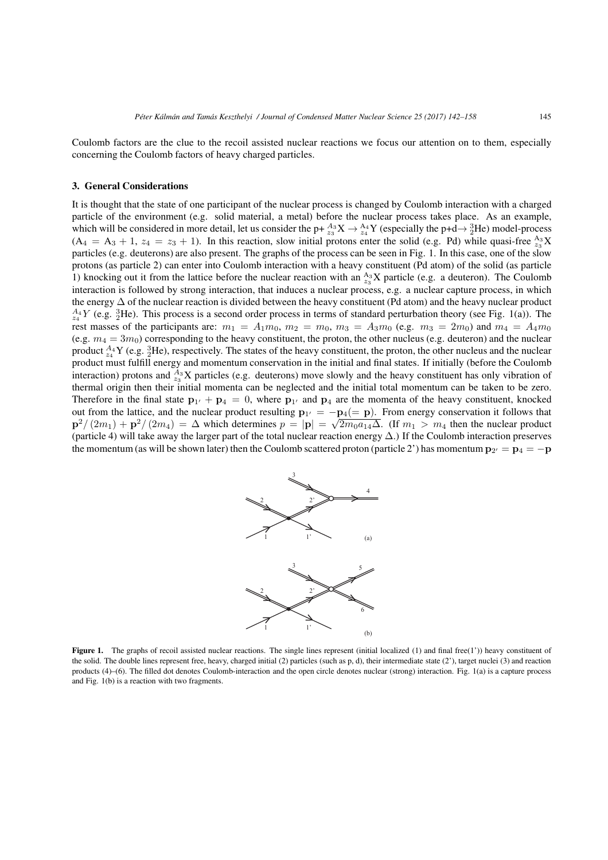Coulomb factors are the clue to the recoil assisted nuclear reactions we focus our attention on to them, especially concerning the Coulomb factors of heavy charged particles.

# **3. General Considerations**

It is thought that the state of one participant of the nuclear process is changed by Coulomb interaction with a charged particle of the environment (e.g. solid material, a metal) before the nuclear process takes place. As an example, which will be considered in more detail, let us consider the p+  $^{A_3}_{23}X \to ^{A_4}_{24}Y$  (especially the p+d $\to ^{3}_2$ He) model-process  $(A_4 = A_3 + 1, z_4 = z_3 + 1)$ . In this reaction, slow initial protons enter the solid (e.g. Pd) while quasi-free  $\frac{A_3}{z_3}X$ particles (e.g. deuterons) are also present. The graphs of the process can be seen in Fig. 1. In this case, one of the slow protons (as particle 2) can enter into Coulomb interaction with a heavy constituent (Pd atom) of the solid (as particle 1) knocking out it from the lattice before the nuclear reaction with an  $_{z_3}^{A_3}X$  particle (e.g. a deuteron). The Coulomb interaction is followed by strong interaction, that induces a nuclear process, e.g. a nuclear capture process, in which the energy ∆ of the nuclear reaction is divided between the heavy constituent (Pd atom) and the heavy nuclear product  $^{A_4}_{z_4}$ *Y* (e.g.  $^{3}_{2}$ He). This process is a second order process in terms of standard perturbation theory (see Fig. 1(a)). The rest masses of the participants are:  $m_1 = A_1 m_0$ ,  $m_2 = m_0$ ,  $m_3 = A_3 m_0$  (e.g.  $m_3 = 2 m_0$ ) and  $m_4 = A_4 m_0$ (e.g.  $m_4 = 3m_0$ ) corresponding to the heavy constituent, the proton, the other nucleus (e.g. deuteron) and the nuclear product  $^{A_4}_{z_4}$ Y (e.g.  $^{3}_{2}$ He), respectively. The states of the heavy constituent, the proton, the other nucleus and the nuclear product must fulfill energy and momentum conservation in the initial and final states. If initially (before the Coulomb interaction) protons and  $A_3^3$ X particles (e.g. deuterons) move slowly and the heavy constituent has only vibration of thermal origin then their initial momenta can be neglected and the initial total momentum can be taken to be zero. Therefore in the final state  $\mathbf{p}_{1'} + \mathbf{p}_4 = 0$ , where  $\mathbf{p}_{1'}$  and  $\mathbf{p}_4$  are the momenta of the heavy constituent, knocked out from the lattice, and the nuclear product resulting  $\mathbf{p}_{1'} = -\mathbf{p}_4 (= \mathbf{p})$ . From energy conservation it follows that  $\mathbf{p}^2/(2m_1) + \mathbf{p}^2/(2m_4) = \Delta$  which determines  $p = |\mathbf{p}| = \sqrt{2m_0 a_{14} \Delta}$ . (If  $m_1 > m_4$  th (particle 4) will take away the larger part of the total nuclear reaction energy  $\Delta$ .) If the Coulomb interaction preserves the momentum (as will be shown later) then the Coulomb scattered proton (particle 2') has momentum  $\mathbf{p}_{2'} = \mathbf{p}_4 = -\mathbf{p}$ 



Figure 1. The graphs of recoil assisted nuclear reactions. The single lines represent (initial localized (1) and final free(1')) heavy constituent of the solid. The double lines represent free, heavy, charged initial (2) particles (such as p, d), their intermediate state (2'), target nuclei (3) and reaction products (4)–(6). The filled dot denotes Coulomb-interaction and the open circle denotes nuclear (strong) interaction. Fig. 1(a) is a capture process and Fig. 1(b) is a reaction with two fragments.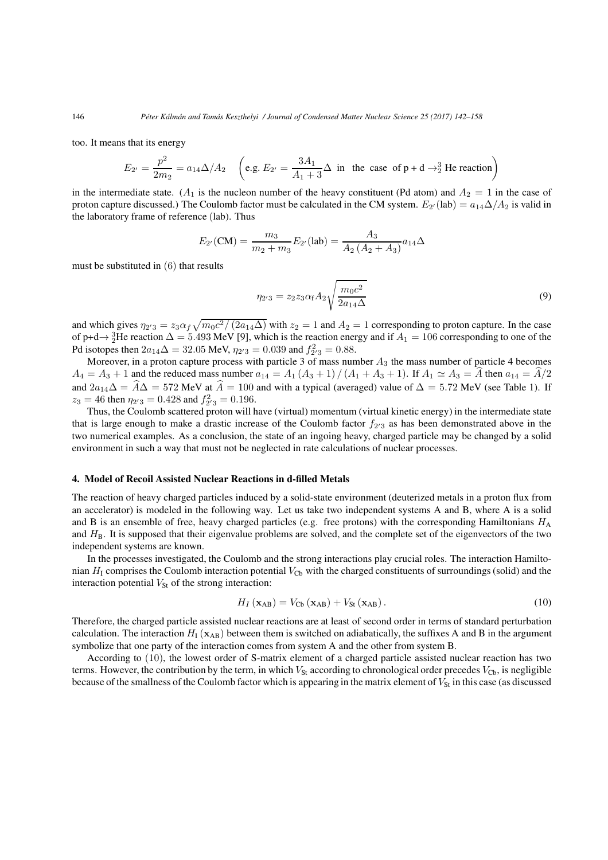too. It means that its energy

$$
E_{2'} = \frac{p^2}{2m_2} = a_{14}\Delta/A_2 \quad \left(\text{e.g. } E_{2'} = \frac{3A_1}{A_1 + 3}\Delta \text{ in the case of } \text{p} + \text{d} \rightarrow_2^3 \text{He reaction}\right)
$$

in the intermediate state. ( $A_1$  is the nucleon number of the heavy constituent (Pd atom) and  $A_2 = 1$  in the case of proton capture discussed.) The Coulomb factor must be calculated in the CM system.  $E_{2'}(\text{lab}) = a_{14}\Delta/A_2$  is valid in the laboratory frame of reference (lab). Thus

$$
E_{2'}(\text{CM}) = \frac{m_3}{m_2 + m_3} E_{2'}(\text{lab}) = \frac{A_3}{A_2 \left(A_2 + A_3\right)} a_{14} \Delta
$$

must be substituted in (6) that results

$$
\eta_{2'3} = z_2 z_3 \alpha_f A_2 \sqrt{\frac{m_0 c^2}{2a_{14} \Delta}} \tag{9}
$$

and which gives  $\eta_{2'3} = z_3 \alpha_f \sqrt{m_0 c^2 / (2a_{14}\Delta)}$  with  $z_2 = 1$  and  $A_2 = 1$  corresponding to proton capture. In the case of p+d→ $\frac{3}{2}$ He reaction  $\Delta = 5.493$  MeV [9], which is the reaction energy and if  $A_1 = 106$  corresponding to one of the Pd isotopes then  $2a_{14}\Delta = 32.05$  MeV,  $\eta_{2'3} = 0.039$  and  $f_{2'3}^2 = 0.88$ .

Moreover, in a proton capture process with particle 3 of mass number *A*<sup>3</sup> the mass number of particle 4 becomes  $A_4 = A_3 + 1$  and the reduced mass number  $a_{14} = A_1 (A_3 + 1) / (A_1 + A_3 + 1)$ . If  $A_1 \simeq A_3 = \hat{A}$  then  $a_{14} = \hat{A}/2$ and  $2a_{14}\Delta = \hat{A}\Delta = 572$  MeV at  $\hat{A} = 100$  and with a typical (averaged) value of  $\Delta = 5.72$  MeV (see Table 1). If  $z_3 = 46$  then  $\eta_{2/3} = 0.428$  and  $f_{2/3}^2 = 0.196$ .

Thus, the Coulomb scattered proton will have (virtual) momentum (virtual kinetic energy) in the intermediate state that is large enough to make a drastic increase of the Coulomb factor  $f_{2/3}$  as has been demonstrated above in the two numerical examples. As a conclusion, the state of an ingoing heavy, charged particle may be changed by a solid environment in such a way that must not be neglected in rate calculations of nuclear processes.

#### **4. Model of Recoil Assisted Nuclear Reactions in d-filled Metals**

The reaction of heavy charged particles induced by a solid-state environment (deuterized metals in a proton flux from an accelerator) is modeled in the following way. Let us take two independent systems A and B, where A is a solid and B is an ensemble of free, heavy charged particles (e.g. free protons) with the corresponding Hamiltonians  $H_A$ and  $H_B$ . It is supposed that their eigenvalue problems are solved, and the complete set of the eigenvectors of the two independent systems are known.

In the processes investigated, the Coulomb and the strong interactions play crucial roles. The interaction Hamiltonian  $H<sub>I</sub>$  comprises the Coulomb interaction potential  $V<sub>Cb</sub>$  with the charged constituents of surroundings (solid) and the interaction potential  $V_{\text{St}}$  of the strong interaction:

$$
H_I\left(\mathbf{x}_{AB}\right) = V_{\text{Cb}}\left(\mathbf{x}_{AB}\right) + V_{\text{St}}\left(\mathbf{x}_{AB}\right). \tag{10}
$$

Therefore, the charged particle assisted nuclear reactions are at least of second order in terms of standard perturbation calculation. The interaction  $H_1(\mathbf{x}_{AB})$  between them is switched on adiabatically, the suffixes A and B in the argument symbolize that one party of the interaction comes from system A and the other from system B.

According to (10), the lowest order of S-matrix element of a charged particle assisted nuclear reaction has two terms. However, the contribution by the term, in which  $V_{\rm St}$  according to chronological order precedes  $V_{\rm Ch}$ , is negligible because of the smallness of the Coulomb factor which is appearing in the matrix element of  $V_{St}$  in this case (as discussed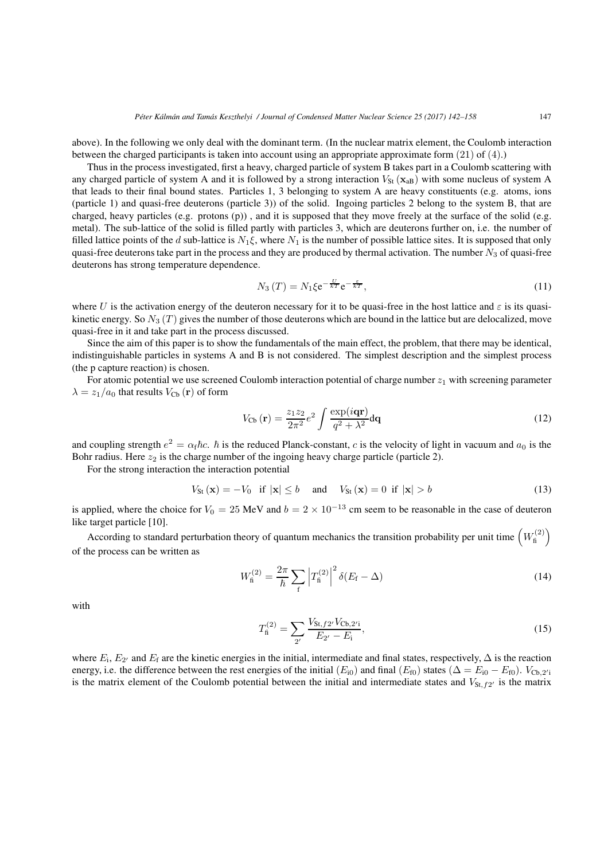above). In the following we only deal with the dominant term. (In the nuclear matrix element, the Coulomb interaction between the charged participants is taken into account using an appropriate approximate form (21) of (4).)

Thus in the process investigated, first a heavy, charged particle of system B takes part in a Coulomb scattering with any charged particle of system A and it is followed by a strong interaction  $V_{\text{St}}(\mathbf{x}_{\text{aB}})$  with some nucleus of system A that leads to their final bound states. Particles 1, 3 belonging to system A are heavy constituents (e.g. atoms, ions (particle 1) and quasi-free deuterons (particle 3)) of the solid. Ingoing particles 2 belong to the system B, that are charged, heavy particles (e.g. protons (p)) , and it is supposed that they move freely at the surface of the solid (e.g. metal). The sub-lattice of the solid is filled partly with particles 3, which are deuterons further on, i.e. the number of filled lattice points of the *d* sub-lattice is  $N_1\xi$ , where  $N_1$  is the number of possible lattice sites. It is supposed that only quasi-free deuterons take part in the process and they are produced by thermal activation. The number *N*<sup>3</sup> of quasi-free deuterons has strong temperature dependence.

$$
N_3(T) = N_1 \xi e^{-\frac{U}{kT}} e^{-\frac{\varepsilon}{kT}},\tag{11}
$$

where *U* is the activation energy of the deuteron necessary for it to be quasi-free in the host lattice and  $\varepsilon$  is its quasikinetic energy. So *N*<sup>3</sup> (*T* ) gives the number of those deuterons which are bound in the lattice but are delocalized, move quasi-free in it and take part in the process discussed.

Since the aim of this paper is to show the fundamentals of the main effect, the problem, that there may be identical, indistinguishable particles in systems A and B is not considered. The simplest description and the simplest process (the p capture reaction) is chosen.

For atomic potential we use screened Coulomb interaction potential of charge number  $z_1$  with screening parameter  $\lambda = z_1/a_0$  that results  $V_{\text{Cb}}(\mathbf{r})$  of form

$$
V_{\text{Cb}}\left(\mathbf{r}\right) = \frac{z_1 z_2}{2\pi^2} e^2 \int \frac{\exp(i\mathbf{qr})}{q^2 + \lambda^2} \mathbf{dq}
$$
\n(12)

and coupling strength  $e^2 = \alpha_f \hbar c$ .  $\hbar$  is the reduced Planck-constant, *c* is the velocity of light in vacuum and  $a_0$  is the Bohr radius. Here  $z_2$  is the charge number of the ingoing heavy charge particle (particle 2).

For the strong interaction the interaction potential

$$
V_{\text{St}}(\mathbf{x}) = -V_0 \quad \text{if } |\mathbf{x}| \le b \quad \text{and} \quad V_{\text{St}}(\mathbf{x}) = 0 \quad \text{if } |\mathbf{x}| > b \tag{13}
$$

is applied, where the choice for  $V_0 = 25 \text{ MeV}$  and  $b = 2 \times 10^{-13}$  cm seem to be reasonable in the case of deuteron like target particle [10].

According to standard perturbation theory of quantum mechanics the transition probability per unit time  $\left(W_{\text{fi}}^{(2)}\right)$ of the process can be written as

$$
W_{\rm fi}^{(2)} = \frac{2\pi}{\hbar} \sum_{\rm f} \left| T_{\rm fi}^{(2)} \right|^2 \delta(E_{\rm f} - \Delta) \tag{14}
$$

with

$$
T_{\rm fi}^{(2)} = \sum_{2'} \frac{V_{\text{St}, f2'} V_{\text{Cb}, 2'i}}{E_{2'} - E_{\rm i}},\tag{15}
$$

where  $E_i$ ,  $E_{2'}$  and  $E_f$  are the kinetic energies in the initial, intermediate and final states, respectively,  $\Delta$  is the reaction energy, i.e. the difference between the rest energies of the initial  $(E_{i0})$  and final  $(E_{f0})$  states ( $\Delta = E_{i0} - E_{f0}$ ).  $V_{\text{Cb},2'i}$ is the matrix element of the Coulomb potential between the initial and intermediate states and  $V_{\text{St, f2'}}$  is the matrix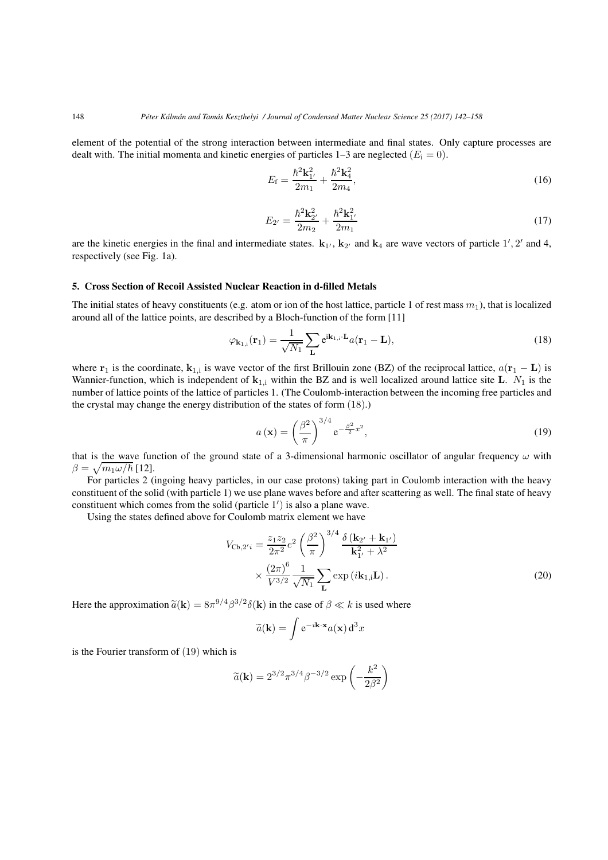element of the potential of the strong interaction between intermediate and final states. Only capture processes are dealt with. The initial momenta and kinetic energies of particles  $1-3$  are neglected  $(E_i = 0)$ .

$$
E_{\rm f} = \frac{\hbar^2 \mathbf{k}_{1'}^2}{2m_1} + \frac{\hbar^2 \mathbf{k}_4^2}{2m_4},\tag{16}
$$

$$
E_{2'} = \frac{\hbar^2 \mathbf{k}_{2'}^2}{2m_2} + \frac{\hbar^2 \mathbf{k}_{1'}^2}{2m_1}
$$
 (17)

are the kinetic energies in the final and intermediate states.  $\mathbf{k}_{1'}$ ,  $\mathbf{k}_{2'}$  and  $\mathbf{k}_4$  are wave vectors of particle  $1', 2'$  and 4, respectively (see Fig. 1a).

## **5. Cross Section of Recoil Assisted Nuclear Reaction in d-filled Metals**

The initial states of heavy constituents (e.g. atom or ion of the host lattice, particle 1 of rest mass  $m_1$ ), that is localized around all of the lattice points, are described by a Bloch-function of the form [11]

$$
\varphi_{\mathbf{k}_{1,i}}(\mathbf{r}_1) = \frac{1}{\sqrt{N_1}} \sum_{\mathbf{L}} e^{i\mathbf{k}_{1,i} \cdot \mathbf{L}} a(\mathbf{r}_1 - \mathbf{L}),
$$
\n(18)

where  $\mathbf{r}_1$  is the coordinate,  $\mathbf{k}_{1,i}$  is wave vector of the first Brillouin zone (BZ) of the reciprocal lattice,  $a(\mathbf{r}_1 - \mathbf{L})$  is Wannier-function, which is independent of  $\mathbf{k}_{1,i}$  within the BZ and is well localized around lattice site **L**.  $N_1$  is the number of lattice points of the lattice of particles 1. (The Coulomb-interaction between the incoming free particles and the crystal may change the energy distribution of the states of form (18).)

$$
a\left(\mathbf{x}\right) = \left(\frac{\beta^2}{\pi}\right)^{3/4} e^{-\frac{\beta^2}{2}x^2},\tag{19}
$$

that is the wave function of the ground state of a 3-dimensional harmonic oscillator of angular frequency  $\omega$  with  $\beta = \sqrt{m_1 \omega/\hbar}$  [12].

For particles 2 (ingoing heavy particles, in our case protons) taking part in Coulomb interaction with the heavy constituent of the solid (with particle 1) we use plane waves before and after scattering as well. The final state of heavy constituent which comes from the solid (particle  $1'$ ) is also a plane wave.

Using the states defined above for Coulomb matrix element we have

$$
V_{\text{Cb},2'i} = \frac{z_1 z_2}{2\pi^2} e^2 \left(\frac{\beta^2}{\pi}\right)^{3/4} \frac{\delta\left(\mathbf{k}_{2'} + \mathbf{k}_{1'}\right)}{\mathbf{k}_{1'}^2 + \lambda^2}
$$

$$
\times \frac{(2\pi)^6}{V^{3/2}} \frac{1}{\sqrt{N_1}} \sum_{\mathbf{L}} \exp\left(i\mathbf{k}_{1,i}\mathbf{L}\right). \tag{20}
$$

Here the approximation  $\tilde{a}(\mathbf{k}) = 8\pi^{9/4} \beta^{3/2} \delta(\mathbf{k})$  in the case of  $\beta \ll k$  is used where

$$
\widetilde{a}(\mathbf{k}) = \int e^{-i\mathbf{k}\cdot\mathbf{x}} a(\mathbf{x}) d^3x
$$

is the Fourier transform of (19) which is

$$
\widetilde{a}(\mathbf{k}) = 2^{3/2} \pi^{3/4} \beta^{-3/2} \exp\left(-\frac{k^2}{2\beta^2}\right)
$$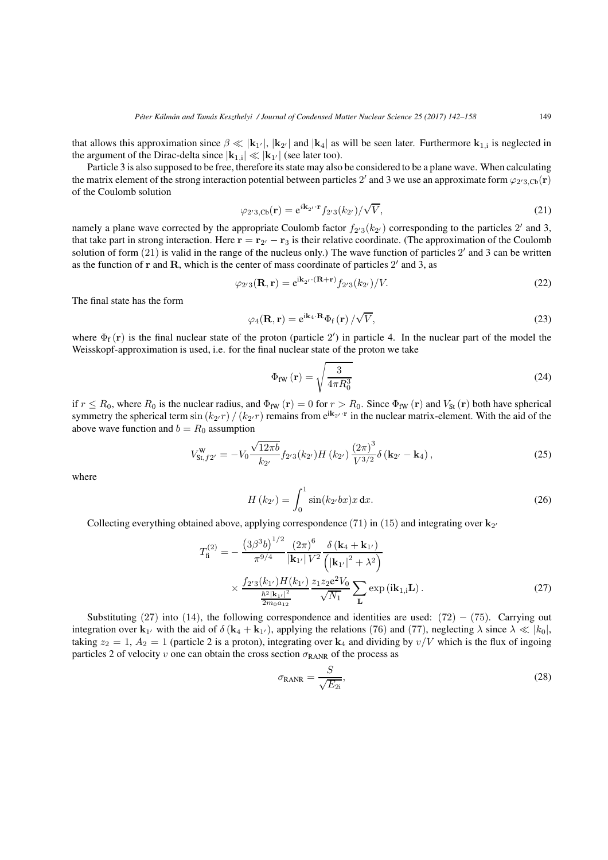that allows this approximation since  $\beta \ll |\mathbf{k}_{1'}|$ ,  $|\mathbf{k}_{2'}|$  and  $|\mathbf{k}_4|$  as will be seen later. Furthermore  $\mathbf{k}_{1,i}$  is neglected in the argument of the Dirac-delta since  $|\mathbf{k}_{1,i}| \ll |\mathbf{k}_{1'}|$  (see later too).

Particle 3 is also supposed to be free, therefore its state may also be considered to be a plane wave. When calculating the matrix element of the strong interaction potential between particles 2' and 3 we use an approximate form  $\varphi_{2/3, Cb}(\mathbf{r})$ of the Coulomb solution

$$
\varphi_{2'3, \text{Cb}}(\mathbf{r}) = e^{i\mathbf{k}_{2'} \cdot \mathbf{r}} f_{2'3}(k_{2'}) / \sqrt{V},\tag{21}
$$

namely a plane wave corrected by the appropriate Coulomb factor  $f_{2/3}(k_{2'})$  corresponding to the particles 2' and 3, that take part in strong interaction. Here  $\mathbf{r} = \mathbf{r}_{2'} - \mathbf{r}_3$  is their relative coordinate. (The approximation of the Coulomb solution of form  $(21)$  is valid in the range of the nucleus only.) The wave function of particles  $2'$  and  $3$  can be written as the function of  $\bf{r}$  and  $\bf{R}$ , which is the center of mass coordinate of particles  $2'$  and 3, as

$$
\varphi_{2'3}(\mathbf{R}, \mathbf{r}) = e^{i\mathbf{k}_{2'} \cdot (\mathbf{R} + \mathbf{r})} f_{2'3}(k_{2'})/V.
$$
 (22)

The final state has the form

$$
\varphi_4(\mathbf{R}, \mathbf{r}) = e^{i\mathbf{k}_4 \cdot \mathbf{R}} \Phi_f(\mathbf{r}) / \sqrt{V}, \qquad (23)
$$

where  $\Phi_f(r)$  is the final nuclear state of the proton (particle 2') in particle 4. In the nuclear part of the model the Weisskopf-approximation is used, i.e. for the final nuclear state of the proton we take

$$
\Phi_{\text{fW}}\left(\mathbf{r}\right) = \sqrt{\frac{3}{4\pi R_0^3}}\tag{24}
$$

if  $r \leq R_0$ , where  $R_0$  is the nuclear radius, and  $\Phi_{fW}(r) = 0$  for  $r > R_0$ . Since  $\Phi_{fW}(r)$  and  $V_{St}(r)$  both have spherical symmetry the spherical term  $\sin(k_2/r) / (k_2/r)$  remains from  $e^{ik_2/r}$  in the nuclear matrix-element. With the aid of the above wave function and  $b = R_0$  assumption

$$
V_{\text{St},f2'}^{\text{W}} = -V_0 \frac{\sqrt{12\pi b}}{k_{2'}} f_{2'3}(k_{2'}) H(k_{2'}) \frac{(2\pi)^3}{V^{3/2}} \delta(\mathbf{k}_{2'} - \mathbf{k}_4), \qquad (25)
$$

where

$$
H(k_{2'}) = \int_0^1 \sin(k_{2'}bx)x \, dx.
$$
 (26)

Collecting everything obtained above, applying correspondence (71) in (15) and integrating over  $\mathbf{k}_{2'}$ 

1*/*<sup>2</sup>

$$
T_{\rm fi}^{(2)} = -\frac{\left(3\beta^3b\right)^{1/2}}{\pi^{9/4}} \frac{\left(2\pi\right)^6}{|\mathbf{k}_{1'}| V^2} \frac{\delta\left(\mathbf{k}_4 + \mathbf{k}_{1'}\right)}{\left(|\mathbf{k}_{1'}|^2 + \lambda^2\right)} \times \frac{f_{2'3}(k_{1'})H(k_{1'})}{\frac{\hbar^2|\mathbf{k}_{1'}|^2}{2m_0 a_{12}}} \frac{z_1 z_2 \mathbf{e}^2 V_0}{\sqrt{N_1}} \sum_{\mathbf{L}} \exp\left(i\mathbf{k}_{1,\mathbf{i}}\mathbf{L}\right).
$$
 (27)

Substituting (27) into (14), the following correspondence and identities are used: (72) *−* (75). Carrying out integration over  $\mathbf{k}_1$  with the aid of  $\delta(\mathbf{k}_4 + \mathbf{k}_1)$ , applying the relations (76) and (77), neglecting  $\lambda$  since  $\lambda \ll |k_0|$ , taking  $z_2 = 1$ ,  $A_2 = 1$  (particle 2 is a proton), integrating over  $\mathbf{k}_4$  and dividing by  $v/V$  which is the flux of ingoing particles 2 of velocity *v* one can obtain the cross section  $\sigma_{RANR}$  of the process as

$$
\sigma_{\text{RANR}} = \frac{S}{\sqrt{E_{2i}}},\tag{28}
$$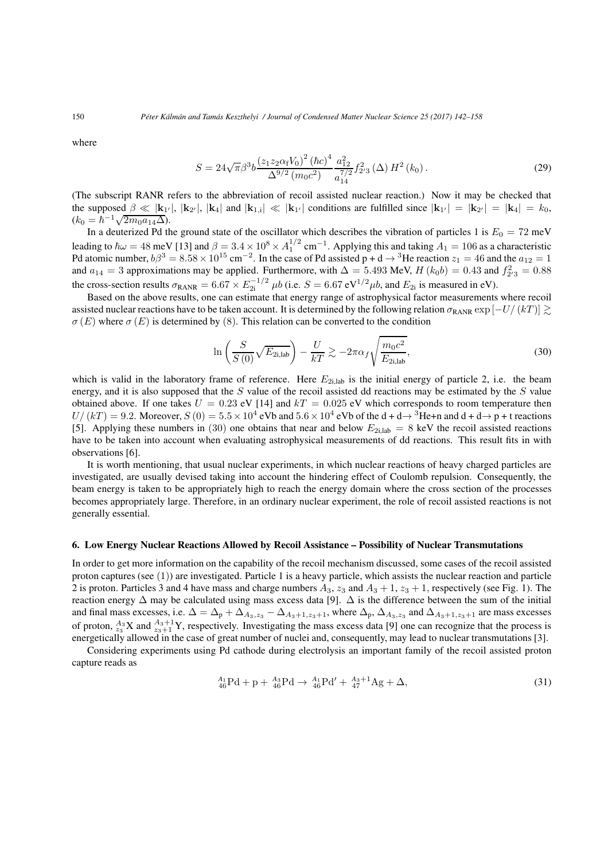where

$$
S = 24\sqrt{\pi}\beta^3 b \frac{\left(z_1 z_2 \alpha_f V_0\right)^2 (\hbar c)^4}{\Delta^{9/2} (m_0 c^2)} \frac{a_{12}^2}{a_{14}^{7/2}} f_{2/3}^2 \left(\Delta\right) H^2 \left(k_0\right). \tag{29}
$$

(The subscript RANR refers to the abbreviation of recoil assisted nuclear reaction.) Now it may be checked that the supposed  $\beta \ll |\mathbf{k}_{1'}|, |\mathbf{k}_{2'}|, |\mathbf{k}_4|$  and  $|\mathbf{k}_{1,i}| \ll |\mathbf{k}_{1'}|$  conditions are fulfilled since  $|\mathbf{k}_{1'}| = |\mathbf{k}_{2'}| = |\mathbf{k}_4| = k_0$ ,  $(k_0 = \hbar^{-1} \sqrt{2m_0 a_{14} \Delta}).$ 

In a deuterized Pd the ground state of the oscillator which describes the vibration of particles 1 is  $E_0 = 72$  meV leading to  $\hbar \omega = 48$  meV [13] and  $\beta = 3.4 \times 10^8 \times A_1^{1/2}$  cm<sup>−1</sup>. Applying this and taking  $A_1 = 106$  as a characteristic Pd atomic number,  $b\beta^3 = 8.58 \times 10^{15}$  cm<sup>−2</sup>. In the case of Pd assisted p + d → <sup>3</sup>He reaction  $z_1 = 46$  and the  $a_{12} = 1$ and  $a_{14} = 3$  approximations may be applied. Furthermore, with  $\Delta = 5.493$  MeV,  $H (k_0 b) = 0.43$  and  $f_{2'3}^2 = 0.88$ the cross-section results  $\sigma_{\text{RANR}} = 6.67 \times E_{2i}^{-1/2}$   $\mu b$  (i.e.  $S = 6.67 \text{ eV}^{1/2} \mu b$ , and  $E_{2i}$  is measured in eV).

Based on the above results, one can estimate that energy range of astrophysical factor measurements where recoil assisted nuclear reactions have to be taken account. It is determined by the following relation  $\sigma_{\text{RANR}} \exp[-U/(kT)] \ge$  $\sigma(E)$  where  $\sigma(E)$  is determined by (8). This relation can be converted to the condition

$$
\ln\left(\frac{S}{S\left(0\right)}\sqrt{E_{2i,\text{lab}}}\right) - \frac{U}{kT} \gtrsim -2\pi\alpha_f \sqrt{\frac{m_0 c^2}{E_{2i,\text{lab}}}},\tag{30}
$$

which is valid in the laboratory frame of reference. Here  $E_{2i,lab}$  is the initial energy of particle 2, i.e. the beam energy, and it is also supposed that the *S* value of the recoil assisted dd reactions may be estimated by the *S* value obtained above. If one takes  $U = 0.23$  eV [14] and  $kT = 0.025$  eV which corresponds to room temperature then  $U/(kT) = 9.2$ . Moreover,  $S(0) = 5.5 \times 10^4$  eVb and  $5.6 \times 10^4$  eVb of the d + d $\rightarrow$ <sup>3</sup>He+n and d + d $\rightarrow$  p + t reactions [5]. Applying these numbers in (30) one obtains that near and below  $E_{2i,lab} = 8$  keV the recoil assisted reactions have to be taken into account when evaluating astrophysical measurements of dd reactions. This result fits in with observations [6].

It is worth mentioning, that usual nuclear experiments, in which nuclear reactions of heavy charged particles are investigated, are usually devised taking into account the hindering effect of Coulomb repulsion. Consequently, the beam energy is taken to be appropriately high to reach the energy domain where the cross section of the processes becomes appropriately large. Therefore, in an ordinary nuclear experiment, the role of recoil assisted reactions is not generally essential.

#### **6. Low Energy Nuclear Reactions Allowed by Recoil Assistance – Possibility of Nuclear Transmutations**

In order to get more information on the capability of the recoil mechanism discussed, some cases of the recoil assisted proton captures (see  $(1)$ ) are investigated. Particle 1 is a heavy particle, which assists the nuclear reaction and particle 2 is proton. Particles 3 and 4 have mass and charge numbers  $A_3$ ,  $z_3$  and  $A_3 + 1$ ,  $z_3 + 1$ , respectively (see Fig. 1). The reaction energy ∆ may be calculated using mass excess data [9]. ∆ is the difference between the sum of the initial and final mass excesses, i.e.  $\Delta = \Delta_p + \Delta_{A_3, z_3} - \Delta_{A_3+1, z_3+1}$ , where  $\Delta_p$ ,  $\Delta_{A_3, z_3}$  and  $\Delta_{A_3+1, z_3+1}$  are mass excesses of proton,  $^{A_3}_{z_3}X$  and  $^{A_3+1}_{z_3+1}Y$ , respectively. Investigating the mass excess data [9] one can recognize that the process is energetically allowed in the case of great number of nuclei and, consequently, may lead to nuclear transmutations [3].

Considering experiments using Pd cathode during electrolysis an important family of the recoil assisted proton capture reads as

$$
{}_{46}^{A_1}Pd + p + {}_{46}^{A_3}Pd \rightarrow {}_{46}^{A_1}Pd' + {}_{47}^{A_3+1}Ag + \Delta,
$$
\n(31)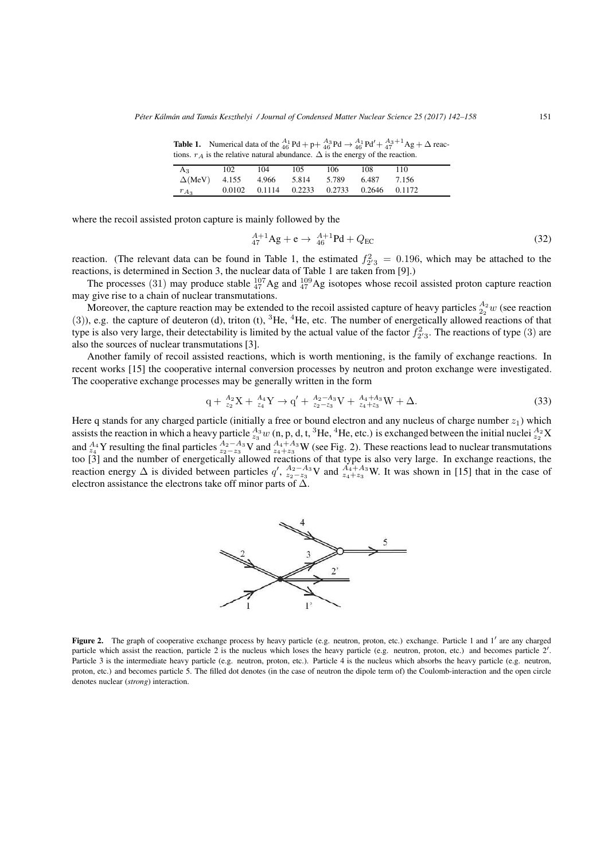**Table 1.** Numerical data of the  $^{A_1}_{46}Pd + p + \frac{A_3}{46}Pd \rightarrow \frac{A_1}{46}Pd' + \frac{A_3+1}{47}Ag + \Delta$  reactions.  $r_A$  is the relative natural abundance.  $\Delta$  is the energy of the reaction.

| $\frac{1}{2}$ as the relative matural abundance. $\frac{1}{2}$ to the energy of the reaction. |     |     |     |     |                                           |       |  |  |  |  |  |
|-----------------------------------------------------------------------------------------------|-----|-----|-----|-----|-------------------------------------------|-------|--|--|--|--|--|
| $A_3$                                                                                         | 102 | 104 | 105 | 106 | 108                                       | 110   |  |  |  |  |  |
| $\Delta(MeV)$ 4.155 4.966 5.814 5.789                                                         |     |     |     |     | 6.487                                     | 7.156 |  |  |  |  |  |
| $r_{A_3}$                                                                                     |     |     |     |     | 0.0102 0.1114 0.2233 0.2733 0.2646 0.1172 |       |  |  |  |  |  |

where the recoil assisted proton capture is mainly followed by the

$$
^{A+1}_{47}Ag + e \rightarrow \frac{A+1}{46}Pd + Q_{EC}
$$
 (32)

reaction. (The relevant data can be found in Table 1, the estimated  $f_{2/3}^2 = 0.196$ , which may be attached to the reactions, is determined in Section 3, the nuclear data of Table 1 are taken from [9].)

The processes (31) may produce stable  ${}^{107}_{47}$ Ag and  ${}^{109}_{47}$ Ag isotopes whose recoil assisted proton capture reaction may give rise to a chain of nuclear transmutations.

Moreover, the capture reaction may be extended to the recoil assisted capture of heavy particles  $\frac{A_2}{2}w$  (see reaction (3)), e.g. the capture of deuteron (d), triton (t),  ${}^{3}$ He,  ${}^{4}$ He, etc. The number of energetically allowed reactions of that type is also very large, their detectability is limited by the actual value of the factor  $f_{2/3}^2$ . The reactions of type (3) are also the sources of nuclear transmutations [3].

Another family of recoil assisted reactions, which is worth mentioning, is the family of exchange reactions. In recent works [15] the cooperative internal conversion processes by neutron and proton exchange were investigated. The cooperative exchange processes may be generally written in the form

$$
q + \frac{A_2}{z_2}X + \frac{A_4}{z_4}Y \to q' + \frac{A_2 - A_3}{z_2 - z_3}V + \frac{A_4 + A_3}{z_4 + z_3}W + \Delta.
$$
 (33)

Here q stands for any charged particle (initially a free or bound electron and any nucleus of charge number  $z_1$ ) which assists the reaction in which a heavy particle  $\frac{A_3}{z_3}w$  (n, p, d, t, <sup>3</sup>He, <sup>4</sup>He, etc.) is exchanged between the initial nuclei  $\frac{A_2}{z_2}X$ and  $^{A_4}_{z_4}$  Y resulting the final particles  $^{A_2-A_3}_{z_2-z_3}$  V and  $^{A_4+A_3}_{z_4+z_3}$  W (see Fig. 2). These reactions lead to nuclear transmutations too [3] and the number of energetically allowed reactions of that type is also very large. In exchange reactions, the reaction energy  $\Delta$  is divided between particles *q'*,  $A_2 - A_3 \vee A_4 + A_3 \vee A_5$ . It was shown in [15] that in the case of electron assistance the electrons take off minor parts of  $\tilde{\Delta}$ .



**Figure 2.** The graph of cooperative exchange process by heavy particle (e.g. neutron, proton, etc.) exchange. Particle 1 and 1' are any charged particle which assist the reaction, particle 2 is the nucleus which loses the heavy particle (e.g. neutron, proton, etc.) and becomes particle 2'. Particle 3 is the intermediate heavy particle (e.g. neutron, proton, etc.). Particle 4 is the nucleus which absorbs the heavy particle (e.g. neutron, proton, etc.) and becomes particle 5. The filled dot denotes (in the case of neutron the dipole term of) the Coulomb-interaction and the open circle denotes nuclear (*strong*) interaction.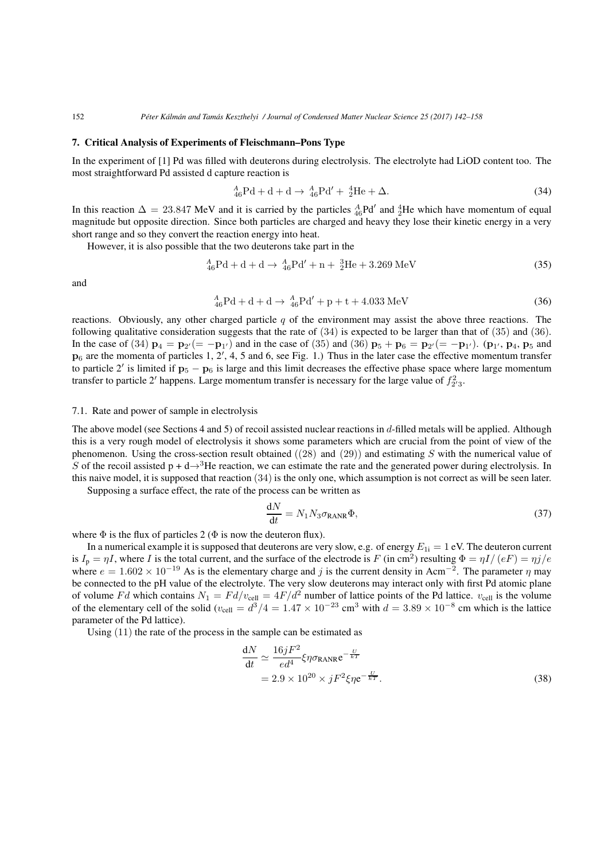#### **7. Critical Analysis of Experiments of Fleischmann–Pons Type**

In the experiment of [1] Pd was filled with deuterons during electrolysis. The electrolyte had LiOD content too. The most straightforward Pd assisted d capture reaction is

$$
{}_{46}^{A}Pd + d + d \rightarrow {}_{46}^{A}Pd' + {}_{2}^{4}He + \Delta.
$$
 (34)

In this reaction  $\Delta = 23.847$  MeV and it is carried by the particles  ${}_{46}^{A}Pd'$  and  ${}_{2}^{4}He$  which have momentum of equal magnitude but opposite direction. Since both particles are charged and heavy they lose their kinetic energy in a very short range and so they convert the reaction energy into heat.

However, it is also possible that the two deuterons take part in the

$$
{}_{46}^{A}Pd + d + d \rightarrow {}_{46}^{A}Pd' + n + {}_{2}^{3}He + 3.269 \text{ MeV}
$$
 (35)

and

$$
{}_{46}^{A}Pd + d + d \rightarrow {}_{46}^{A}Pd' + p + t + 4.033 \text{ MeV}
$$
 (36)

reactions. Obviously, any other charged particle *q* of the environment may assist the above three reactions. The following qualitative consideration suggests that the rate of (34) is expected to be larger than that of (35) and (36). In the case of (34) **p**<sub>4</sub> = **p**<sub>2</sub>/(= −**p**<sub>1</sub>/) and in the case of (35) and (36) **p**<sub>5</sub> + **p**<sub>6</sub> = **p**<sub>2</sub>/(= −**p**<sub>1</sub>/). (**p**<sub>1</sub>/, **p**<sub>4</sub>, **p**<sub>5</sub> and  $\mathbf{p}_6$  are the momenta of particles 1, 2', 4, 5 and 6, see Fig. 1.) Thus in the later case the effective momentum transfer to particle 2 is limited if **p**<sup>5</sup> *−* **p**<sup>6</sup> is large and this limit decreases the effective phase space where large momentum transfer to particle 2' happens. Large momentum transfer is necessary for the large value of  $f_{2/3}^2$ .

#### 7.1. Rate and power of sample in electrolysis

The above model (see Sections 4 and 5) of recoil assisted nuclear reactions in *d*-filled metals will be applied. Although this is a very rough model of electrolysis it shows some parameters which are crucial from the point of view of the phenomenon. Using the cross-section result obtained ((28) and (29)) and estimating *S* with the numerical value of *S* of the recoil assisted  $p + d \rightarrow 3$ He reaction, we can estimate the rate and the generated power during electrolysis. In this naive model, it is supposed that reaction (34) is the only one, which assumption is not correct as will be seen later.

Supposing a surface effect, the rate of the process can be written as

$$
\frac{dN}{dt} = N_1 N_3 \sigma_{RANR} \Phi,
$$
\n(37)

where  $\Phi$  is the flux of particles 2 ( $\Phi$  is now the deuteron flux).

In a numerical example it is supposed that deuterons are very slow, e.g. of energy  $E_{1i} = 1$  eV. The deuteron current is  $I_p = \eta I$ , where *I* is the total current, and the surface of the electrode is *F* (in cm<sup>2</sup>) resulting  $\Phi = \eta I/(eF) = \eta j/e$ where  $e = 1.602 \times 10^{-19}$  As is the elementary charge and *j* is the current density in Acm<sup>−2</sup>. The parameter  $\eta$  may be connected to the pH value of the electrolyte. The very slow deuterons may interact only with first Pd atomic plane of volume *Fd* which contains  $N_1 = F d/v_{cell} = 4F/d^2$  number of lattice points of the Pd lattice.  $v_{cell}$  is the volume of the elementary cell of the solid ( $v_{cell} = d^3/4 = 1.47 \times 10^{-23}$  cm<sup>3</sup> with  $d = 3.89 \times 10^{-8}$  cm which is the lattice parameter of the Pd lattice).

Using (11) the rate of the process in the sample can be estimated as

$$
\frac{dN}{dt} \simeq \frac{16jF^2}{ed^4} \xi \eta \sigma_{\text{RANR}} e^{-\frac{U}{kT}}
$$
  
= 2.9 × 10<sup>20</sup> × jF<sup>2</sup>ξηe<sup>- $\frac{U}{kT}$</sup> . (38)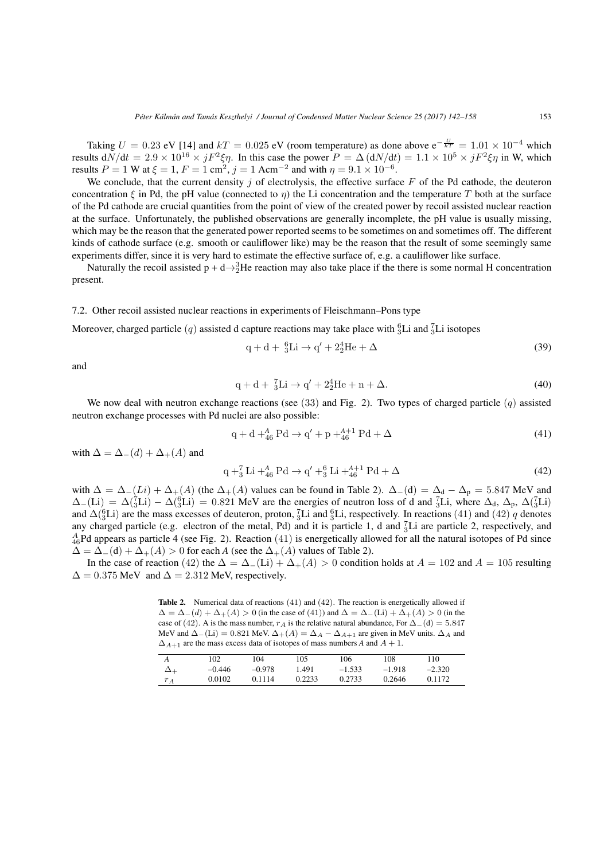Taking  $U = 0.23$  eV [14] and  $kT = 0.025$  eV (room temperature) as done above  $e^{-\frac{U}{kT}} = 1.01 \times 10^{-4}$  which results  $dN/dt = 2.9 \times 10^{16} \times jF^2 \xi \eta$ . In this case the power  $P = \Delta (dN/dt) = 1.1 \times 10^5 \times jF^2 \xi \eta$  in W, which results  $P = 1$  W at  $\xi = 1$ ,  $F = 1$  cm<sup>2</sup>,  $j = 1$  Acm<sup>-2</sup> and with  $\eta = 9.1 \times 10^{-6}$ .

We conclude, that the current density *j* of electrolysis, the effective surface *F* of the Pd cathode, the deuteron concentration  $\xi$  in Pd, the pH value (connected to  $\eta$ ) the Li concentration and the temperature T both at the surface of the Pd cathode are crucial quantities from the point of view of the created power by recoil assisted nuclear reaction at the surface. Unfortunately, the published observations are generally incomplete, the pH value is usually missing, which may be the reason that the generated power reported seems to be sometimes on and sometimes off. The different kinds of cathode surface (e.g. smooth or cauliflower like) may be the reason that the result of some seemingly same experiments differ, since it is very hard to estimate the effective surface of, e.g. a cauliflower like surface.

Naturally the recoil assisted  $p + d \rightarrow 3^3$ He reaction may also take place if the there is some normal H concentration present.

#### 7.2. Other recoil assisted nuclear reactions in experiments of Fleischmann–Pons type

Moreover, charged particle  $(q)$  assisted d capture reactions may take place with  ${}^{6}_{3}$ Li and  ${}^{7}_{3}$ Li isotopes

$$
q + d + {}^{6}_{3}Li \rightarrow q' + 2^{4}_{2}He + \Delta
$$
 (39)

and

$$
q + d + \frac{7}{3}Li \to q' + 2^4_2He + n + \Delta.
$$
 (40)

We now deal with neutron exchange reactions (see (33) and Fig. 2). Two types of charged particle (*q*) assisted neutron exchange processes with Pd nuclei are also possible:

$$
q + d + 4_4^4 B d \to q' + p + 4_4^{4+1} P d + \Delta
$$
\n(41)

with  $\Delta = \Delta_-(d) + \Delta_+(A)$  and

$$
q + {}^{7}_{3}Li + {}^{4}_{46}Pd \rightarrow q' + {}^{6}_{3}Li + {}^{4+1}_{46}Pd + \Delta
$$
 (42)

with  $\Delta = \Delta_-(L_i) + \Delta_+(A)$  (the  $\Delta_+(A)$  values can be found in Table 2).  $\Delta_-(d) = \Delta_d - \Delta_p = 5.847$  MeV and  $\Delta$ <sub>−</sub>(Li) =  $\Delta$ ( $\overline{3}$ Li) −  $\Delta$ ( $\overline{3}$ Li) = 0.821 MeV are the energies of neutron loss of d and  $\overline{3}$ Li, where  $\Delta$ <sub>d</sub>,  $\Delta$ <sub>p</sub>,  $\Delta$ ( $\overline{3}$ Li) and  $\Delta(^{6}_{3}\text{Li})$  are the mass excesses of deuteron, proton,  $^{7}_{3}\text{Li}$  and  $^{6}_{3}\text{Li}$ , respectively. In reactions (41) and (42) *q* denotes any charged particle (e.g. electron of the metal, Pd) and it is particle 1, d and  ${}_{3}^{7}Li$  are particle 2, respectively, and  $^{A}_{46}$ Pd appears as particle 4 (see Fig. 2). Reaction (41) is energetically allowed for all the natural isotopes of Pd since  $\Delta = \Delta_-(d) + \Delta_+(A) > 0$  for each *A* (see the  $\Delta_+(A)$  values of Table 2).

In the case of reaction (42) the  $\Delta = \Delta_-(L_i) + \Delta_+(A) > 0$  condition holds at  $A = 102$  and  $A = 105$  resulting  $\Delta = 0.375$  MeV and  $\Delta = 2.312$  MeV, respectively.

**Table 2.** Numerical data of reactions (41) and (42). The reaction is energetically allowed if  $\Delta = \Delta_-(d) + \Delta_+(A) > 0$  (in the case of (41)) and  $\Delta = \Delta_-(L_i) + \Delta_+(A) > 0$  (in the case of (42). A is the mass number,  $r_A$  is the relative natural abundance, For  $\Delta$ *−*(d) = 5*.847* MeV and  $\Delta$ <sup>−</sup>(Li) = 0.821 MeV.  $\Delta$ <sup>+</sup>(*A*) =  $\Delta$ <sub>*A*</sub> −  $\Delta$ <sub>*A*+1</sub> are given in MeV units.  $\Delta$ <sub>*A*</sub> and  $\Delta_{A+1}$  are the mass excess data of isotopes of mass numbers *A* and *A* + 1.

|             | 102      | 104      | 105    | 106      | 108      | 110      |
|-------------|----------|----------|--------|----------|----------|----------|
| $\Delta _+$ | $-0.446$ | $-0.978$ | 1.491  | $-1.533$ | $-1.918$ | $-2.320$ |
| $r_A$       | 0.0102   | 0.1114   | 0.2233 | 0.2733   | 0.2646   | 0.1172   |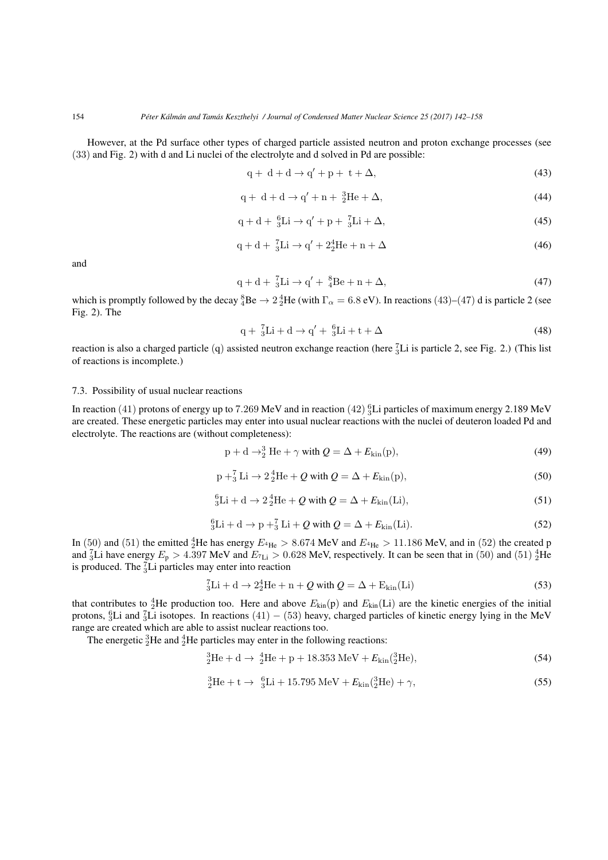However, at the Pd surface other types of charged particle assisted neutron and proton exchange processes (see (33) and Fig. 2) with d and Li nuclei of the electrolyte and d solved in Pd are possible:

$$
q + d + d \rightarrow q' + p + t + \Delta, \tag{43}
$$

$$
q + d + d \rightarrow q' + n + \frac{3}{2}He + \Delta,\tag{44}
$$

$$
q + d + \frac{6}{3}Li \rightarrow q' + p + \frac{7}{3}Li + \Delta,\tag{45}
$$

$$
q + d + \frac{7}{3}Li \rightarrow q' + 2\frac{4}{2}He + n + \Delta
$$
\n
$$
(46)
$$

and

$$
q + d + \frac{7}{3}Li \rightarrow q' + \frac{8}{4}Be + n + \Delta,\tag{47}
$$

which is promptly followed by the decay  ${}^{8}_{4}Be \rightarrow 2\, {}^{4}_{2}He$  (with  $\Gamma_{\alpha} = 6.8 \text{ eV}$ ). In reactions (43)–(47) d is particle 2 (see Fig. 2). The

$$
q + \frac{7}{3}Li + d \rightarrow q' + \frac{6}{3}Li + t + \Delta \tag{48}
$$

reaction is also a charged particle (q) assisted neutron exchange reaction (here  ${}_{3}^{7}Li$  is particle 2, see Fig. 2.) (This list of reactions is incomplete.)

#### 7.3. Possibility of usual nuclear reactions

In reaction  $(41)$  protons of energy up to  $7.269$  MeV and in reaction  $(42)\frac{6}{3}$ Li particles of maximum energy  $2.189$  MeV are created. These energetic particles may enter into usual nuclear reactions with the nuclei of deuteron loaded Pd and electrolyte. The reactions are (without completeness):

$$
p + d \rightarrow 3^3 He + \gamma \text{ with } Q = \Delta + E_{\text{kin}}(p), \tag{49}
$$

$$
p + \frac{7}{3}Li \rightarrow 2\frac{4}{2}He + Q \text{ with } Q = \Delta + E_{kin}(p),\tag{50}
$$

$$
{}_{3}^{6}\text{Li} + \text{d} \rightarrow 2 {}_{2}^{4}\text{He} + Q \text{ with } Q = \Delta + E_{\text{kin}}(\text{Li}), \tag{51}
$$

$$
{}_{3}^{6}\text{Li} + \text{d} \rightarrow \text{p} + {}_{3}^{7}\text{Li} + Q \text{ with } Q = \Delta + E_{\text{kin}}(\text{Li}). \tag{52}
$$

In (50) and (51) the emitted  ${}_{2}^{4}$ He has energy  $E_{{}^{4}He} > 8.674$  MeV and  $E_{{}^{4}He} > 11.186$  MeV, and in (52) the created p and  $_3^7$ Li have energy  $E_p > 4.397$  MeV and  $E_7$ <sub>Li</sub>  $> 0.628$  MeV, respectively. It can be seen that in (50) and (51)  $_2^4$ He is produced. The  ${}_{3}^{7}$ Li particles may enter into reaction

$$
{}_{3}^{7}Li + d \rightarrow 2{}_{2}^{4}He + n + Q \text{ with } Q = \Delta + E_{kin}(Li)
$$
\n(53)

that contributes to  ${}_{2}^{4}$ He production too. Here and above  $E_{kin}(p)$  and  $E_{kin}(Li)$  are the kinetic energies of the initial protons, <sup>6</sup><sub>3</sub>Li and <sup>7</sup><sub>3</sub>Li isotopes. In reactions (41) − (53) heavy, charged particles of kinetic energy lying in the MeV range are created which are able to assist nuclear reactions too.

The energetic  ${}^{3}_{2}$ He and  ${}^{4}_{2}$ He particles may enter in the following reactions:

$$
{}_{2}^{3}\text{He} + \text{d} \rightarrow {}_{2}^{4}\text{He} + \text{p} + 18.353 \text{ MeV} + E_{\text{kin}}({}_{2}^{3}\text{He}), \tag{54}
$$

$$
{}_{2}^{3}\text{He} + \text{t} \rightarrow {}_{3}^{6}\text{Li} + 15.795 \text{ MeV} + E_{\text{kin}}({}_{2}^{3}\text{He}) + \gamma,
$$
\n(55)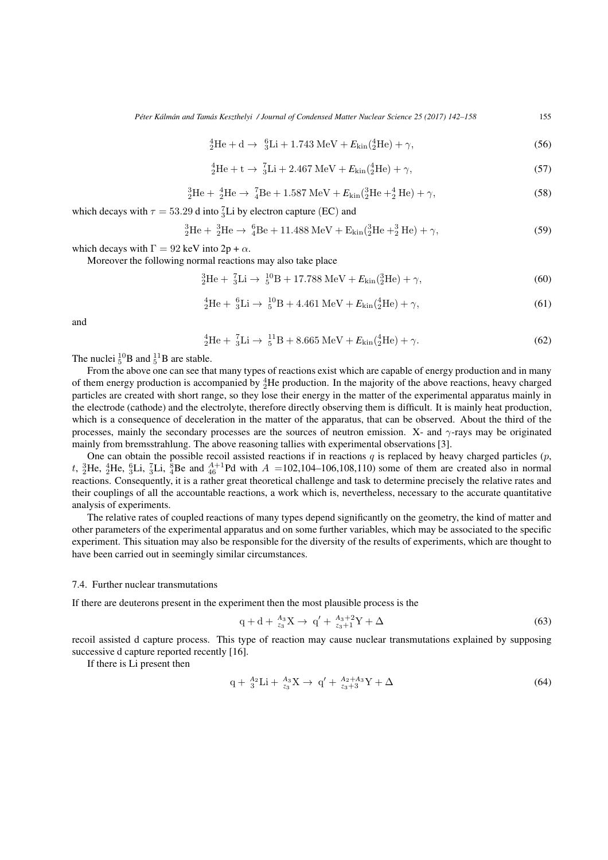*Péter Kálmán and Tamás Keszthelyi / Journal of Condensed Matter Nuclear Science 25 (2017) 142–158* 155

$$
{}_{2}^{4}\text{He} + \text{d} \rightarrow {}_{3}^{6}\text{Li} + 1.743 \text{ MeV} + E_{\text{kin}}({}_{2}^{4}\text{He}) + \gamma,
$$
\n(56)

$$
{}_{2}^{4}\text{He} + \text{t} \rightarrow {}_{3}^{7}\text{Li} + 2.467 \text{ MeV} + E_{\text{kin}}({}_{2}^{4}\text{He}) + \gamma,
$$
\n(57)

$$
{}_{2}^{3}\text{He} + {}_{2}^{4}\text{He} \rightarrow {}_{4}^{7}\text{Be} + 1.587 \text{ MeV} + E_{\text{kin}}({}_{2}^{3}\text{He} + {}_{2}^{4}\text{He}) + \gamma,
$$
 (58)

which decays with  $\tau = 53.29$  d into  ${}_{3}^{7}$ Li by electron capture (EC) and

$$
{}_{2}^{3}\text{He} + {}_{2}^{3}\text{He} \rightarrow {}_{4}^{6}\text{Be} + 11.488 \text{ MeV} + \text{E}_{\text{kin}}({}_{2}^{3}\text{He} + {}_{2}^{3}\text{He}) + \gamma,
$$
 (59)

which decays with  $\Gamma = 92$  keV into  $2p + \alpha$ .

Moreover the following normal reactions may also take place

$$
{}_{2}^{3}\text{He} + {}_{3}^{7}\text{Li} \rightarrow {}_{5}^{10}\text{B} + 17.788 \text{ MeV} + E_{\text{kin}}({}_{2}^{3}\text{He}) + \gamma,
$$
\n(60)

$$
{}_{2}^{4}\text{He} + {}_{3}^{6}\text{Li} \rightarrow {}_{5}^{10}\text{B} + 4.461 \text{ MeV} + E_{\text{kin}}({}_{2}^{4}\text{He}) + \gamma,
$$
\n(61)

and

$$
{}_{2}^{4}\text{He} + {}_{3}^{7}\text{Li} \rightarrow {}_{5}^{11}\text{B} + 8.665 \text{ MeV} + E_{\text{kin}}({}_{2}^{4}\text{He}) + \gamma.
$$
 (62)

The nuclei  ${}^{10}_{5}B$  and  ${}^{11}_{5}B$  are stable.

From the above one can see that many types of reactions exist which are capable of energy production and in many of them energy production is accompanied by  ${}_{2}^{4}$ He production. In the majority of the above reactions, heavy charged particles are created with short range, so they lose their energy in the matter of the experimental apparatus mainly in the electrode (cathode) and the electrolyte, therefore directly observing them is difficult. It is mainly heat production, which is a consequence of deceleration in the matter of the apparatus, that can be observed. About the third of the processes, mainly the secondary processes are the sources of neutron emission. X- and *γ*-rays may be originated mainly from bremsstrahlung. The above reasoning tallies with experimental observations [3].

One can obtain the possible recoil assisted reactions if in reactions  $q$  is replaced by heavy charged particles  $(p,$ *t*,  ${}_{2}^{3}$ He,  ${}_{2}^{4}$ He,  ${}_{3}^{6}$ Li,  ${}_{3}^{7}$ Li,  ${}_{4}^{8}$ Be and  ${}_{46}^{A+1}$ Pd with *A* =102,104–106,108,110) some of them are created also in normal reactions. Consequently, it is a rather great theoretical challenge and task to determine precisely the relative rates and their couplings of all the accountable reactions, a work which is, nevertheless, necessary to the accurate quantitative analysis of experiments.

The relative rates of coupled reactions of many types depend significantly on the geometry, the kind of matter and other parameters of the experimental apparatus and on some further variables, which may be associated to the specific experiment. This situation may also be responsible for the diversity of the results of experiments, which are thought to have been carried out in seemingly similar circumstances.

#### 7.4. Further nuclear transmutations

If there are deuterons present in the experiment then the most plausible process is the

$$
q + d + \frac{A_3}{z_3}X \to q' + \frac{A_3 + 2}{z_3 + 1}Y + \Delta
$$
\n(63)

recoil assisted d capture process. This type of reaction may cause nuclear transmutations explained by supposing successive d capture reported recently [16].

If there is Li present then

$$
q + \frac{A_2}{3}Li + \frac{A_3}{z_3}X \to q' + \frac{A_2 + A_3}{z_3 + 3}Y + \Delta
$$
\n(64)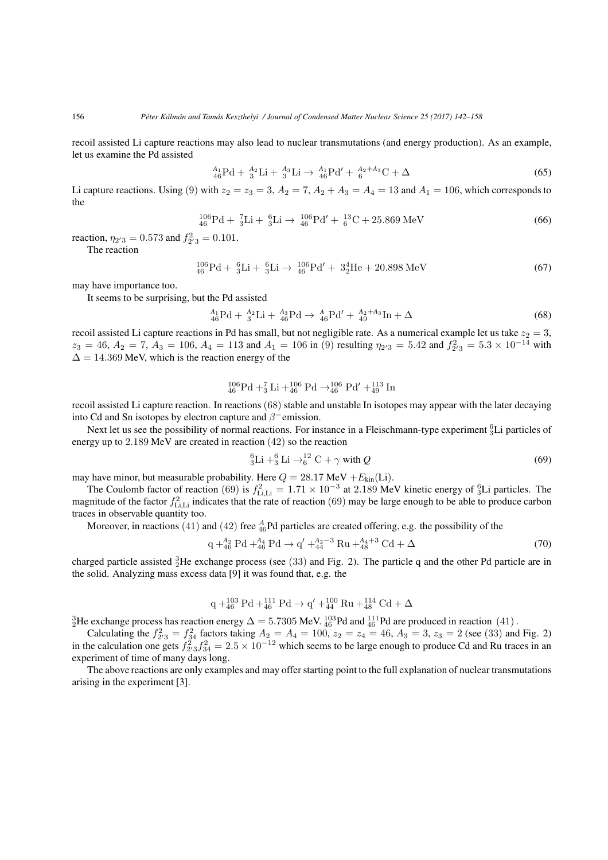recoil assisted Li capture reactions may also lead to nuclear transmutations (and energy production). As an example, let us examine the Pd assisted

$$
{}_{46}^{A_1}Pd + {}_{3}^{A_2}Li + {}_{3}^{A_3}Li \rightarrow {}_{46}^{A_1}Pd' + {}_{6}^{A_2 + A_3}C + \Delta
$$
 (65)

Li capture reactions. Using (9) with  $z_2 = z_3 = 3$ ,  $A_2 = 7$ ,  $A_2 + A_3 = A_4 = 13$  and  $A_1 = 106$ , which corresponds to the

$$
^{106}_{46}\text{Pd} + ^{7}_{3}\text{Li} + ^{6}_{3}\text{Li} \rightarrow ^{106}_{46}\text{Pd}' + ^{13}_{6}\text{C} + 25.869 \text{ MeV}
$$
\n(66)

reaction,  $\eta_{2'3} = 0.573$  and  $f_{2'3}^2 = 0.101$ .

The reaction

$$
^{106}_{46}\text{Pd} + ^{6}_{3}\text{Li} + ^{6}_{3}\text{Li} \rightarrow ^{106}_{46}\text{Pd}' + ^{34}_{2}\text{He} + ^{20.898}\text{MeV} \tag{67}
$$

may have importance too.

It seems to be surprising, but the Pd assisted

$$
{}_{46}^{A_1}Pd + {}_{3}^{A_2}Li + {}_{46}^{A_3}Pd \rightarrow {}_{46}^{A}Pd' + {}_{49}^{A_2 + A_3}In + \Delta
$$
 (68)

recoil assisted Li capture reactions in Pd has small, but not negligible rate. As a numerical example let us take  $z_2 = 3$ ,  $z_3 = 46$ ,  $A_2 = 7$ ,  $A_3 = 106$ ,  $A_4 = 113$  and  $A_1 = 106$  in (9) resulting  $\eta_{2/3} = 5.42$  and  $f_{2/3}^2 = 5.3 \times 10^{-14}$  with  $\Delta = 14.369$  MeV, which is the reaction energy of the

$$
^{106}_{46}\text{Pd} + ^7_3\text{Li} + ^{106}_{46}\text{Pd} \rightarrow ^{106}_{46}\text{Pd}' + ^{113}_{49}\text{In}
$$

recoil assisted Li capture reaction. In reactions (68) stable and unstable In isotopes may appear with the later decaying into Cd and Sn isotopes by electron capture and *β−*emission.

Next let us see the possibility of normal reactions. For instance in a Fleischmann-type experiment  ${}^{6}_{3}$ Li particles of energy up to 2*.*189 MeV are created in reaction (42) so the reaction

$$
{}_{3}^{6}\text{Li} + {}_{3}^{6}\text{Li} \rightarrow {}_{6}^{12}\text{C} + \gamma \text{ with } Q
$$
 (69)

may have minor, but measurable probability. Here  $Q = 28.17 \text{ MeV} + E_{\text{kin}}(\text{Li})$ .

The Coulomb factor of reaction (69) is  $f_{\rm Li,Li}^2 = 1.71 \times 10^{-3}$  at 2.189 MeV kinetic energy of  ${}_{3}^{6}$ Li particles. The magnitude of the factor  $f_{\text{Li},\text{Li}}^2$  indicates that the rate of reaction (69) may be large enough to be able to produce carbon traces in observable quantity too.

Moreover, in reactions  $(41)$  and  $(42)$  free  $^{A}_{46}$ Pd particles are created offering, e.g. the possibility of the

$$
q +_{46}^{A_2} Pd +_{46}^{A_4} Pd \to q' +_{44}^{A_2 - 3} Ru +_{48}^{A_4 + 3} Cd + \Delta
$$
 (70)

charged particle assisted  ${}^{3}_{2}$ He exchange process (see (33) and Fig. 2). The particle q and the other Pd particle are in the solid. Analyzing mass excess data [9] it was found that, e.g. the

$$
q + ^{103}_{46} Pd + ^{111}_{46} Pd \rightarrow q' + ^{100}_{44} Ru + ^{114}_{48} Cd + \Delta
$$

 $^{3}_{2}$ He exchange process has reaction energy  $\Delta = 5.7305$  MeV.  $^{103}_{46}$ Pd and  $^{111}_{46}$ Pd are produced in reaction (41).

Calculating the  $f_{2'3}^2 = f_{34}^2$  factors taking  $A_2 = A_4 = 100$ ,  $z_2 = z_4 = 46$ ,  $A_3 = 3$ ,  $z_3 = 2$  (see (33) and Fig. 2) in the calculation one gets  $f_{2/3}^2 f_{34}^2 = 2.5 \times 10^{-12}$  which seems to be large enough to produce Cd and Ru traces in an experiment of time of many days long.

The above reactions are only examples and may offer starting point to the full explanation of nuclear transmutations arising in the experiment [3].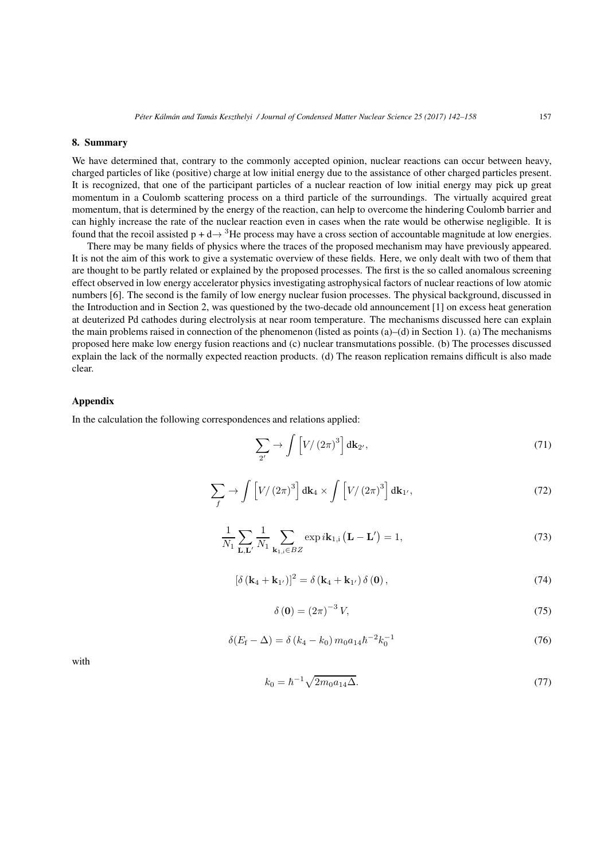# **8. Summary**

We have determined that, contrary to the commonly accepted opinion, nuclear reactions can occur between heavy, charged particles of like (positive) charge at low initial energy due to the assistance of other charged particles present. It is recognized, that one of the participant particles of a nuclear reaction of low initial energy may pick up great momentum in a Coulomb scattering process on a third particle of the surroundings. The virtually acquired great momentum, that is determined by the energy of the reaction, can help to overcome the hindering Coulomb barrier and can highly increase the rate of the nuclear reaction even in cases when the rate would be otherwise negligible. It is found that the recoil assisted  $p + d \rightarrow {}^{3}$ He process may have a cross section of accountable magnitude at low energies.

There may be many fields of physics where the traces of the proposed mechanism may have previously appeared. It is not the aim of this work to give a systematic overview of these fields. Here, we only dealt with two of them that are thought to be partly related or explained by the proposed processes. The first is the so called anomalous screening effect observed in low energy accelerator physics investigating astrophysical factors of nuclear reactions of low atomic numbers [6]. The second is the family of low energy nuclear fusion processes. The physical background, discussed in the Introduction and in Section 2, was questioned by the two-decade old announcement [1] on excess heat generation at deuterized Pd cathodes during electrolysis at near room temperature. The mechanisms discussed here can explain the main problems raised in connection of the phenomenon (listed as points (a)–(d) in Section 1). (a) The mechanisms proposed here make low energy fusion reactions and (c) nuclear transmutations possible. (b) The processes discussed explain the lack of the normally expected reaction products. (d) The reason replication remains difficult is also made clear.

# **Appendix**

In the calculation the following correspondences and relations applied:

$$
\sum_{2'} \rightarrow \int \left[ V / \left( 2\pi \right)^3 \right] d\mathbf{k}_{2'}, \tag{71}
$$

$$
\sum_{f} \rightarrow \int \left[ V/(2\pi)^3 \right] d\mathbf{k}_4 \times \int \left[ V/(2\pi)^3 \right] d\mathbf{k}_{1'}, \tag{72}
$$

$$
\frac{1}{N_1} \sum_{\mathbf{L}, \mathbf{L}'} \frac{1}{N_1} \sum_{\mathbf{k}_{1,i} \in BZ} \exp i\mathbf{k}_{1,i} \left( \mathbf{L} - \mathbf{L}' \right) = 1,\tag{73}
$$

$$
\left[\delta\left(\mathbf{k}_{4}+\mathbf{k}_{1'}\right)\right]^{2}=\delta\left(\mathbf{k}_{4}+\mathbf{k}_{1'}\right)\delta\left(\mathbf{0}\right),\tag{74}
$$

$$
\delta\left(\mathbf{0}\right) = \left(2\pi\right)^{-3} V,\tag{75}
$$

$$
\delta(E_{\rm f}-\Delta)=\delta(k_4-k_0)\,m_0a_{14}\hbar^{-2}k_0^{-1}\tag{76}
$$

with

$$
k_0 = \hbar^{-1} \sqrt{2m_0 a_{14} \Delta}.
$$
\n(77)